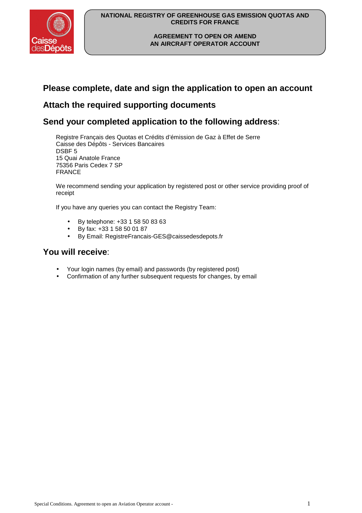

#### **AGREEMENT TO OPEN OR AMEND AN AIRCRAFT OPERATOR ACCOUNT**

# **Please complete, date and sign the application to open an account**

## **Attach the required supporting documents**

## **Send your completed application to the following address**:

Registre Français des Quotas et Crédits d'émission de Gaz à Effet de Serre Caisse des Dépôts - Services Bancaires DSBF 5 15 Quai Anatole France 75356 Paris Cedex 7 SP FRANCE

We recommend sending your application by registered post or other service providing proof of receipt

If you have any queries you can contact the Registry Team:

- By telephone: +33 1 58 50 83 63
- By fax: +33 1 58 50 01 87
- By Email: RegistreFrancais-GES@caissedesdepots.fr

## **You will receive**:

- Your login names (by email) and passwords (by registered post)
- Confirmation of any further subsequent requests for changes, by email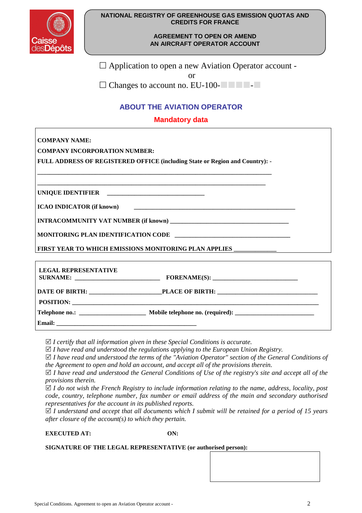

### **AGREEMENT TO OPEN OR AMEND AN AIRCRAFT OPERATOR ACCOUNT**

 $\Box$  Application to open a new Aviation Operator account or

 $\Box$  Changes to account no. EU-100-

## **ABOUT THE AVIATION OPERATOR**

### **Mandatory data**

| <b>COMPANY INCORPORATION NUMBER:</b><br>FULL ADDRESS OF REGISTERED OFFICE (including State or Region and Country): - |
|----------------------------------------------------------------------------------------------------------------------|
|                                                                                                                      |
|                                                                                                                      |
|                                                                                                                      |
|                                                                                                                      |
| UNIQUE IDENTIFIER                                                                                                    |
| ICAO INDICATOR (if known)                                                                                            |
|                                                                                                                      |
| MONITORING PLAN IDENTIFICATION CODE                                                                                  |
| FIRST YEAR TO WHICH EMISSIONS MONITORING PLAN APPLIES ___________                                                    |

| LEGAL REPRESENTATIVE |  |
|----------------------|--|
|                      |  |
|                      |  |
|                      |  |
| <b>Email:</b>        |  |

 *I certify that all information given in these Special Conditions is accurate.* 

*I have read and understood the regulations applying to the European Union Registry.* 

 *I have read and understood the terms of the "Aviation Operator" section of the General Conditions of the Agreement to open and hold an account, and accept all of the provisions therein.* 

 *I have read and understood the General Conditions of Use of the registry's site and accept all of the provisions therein.* 

 *I do not wish the French Registry to include information relating to the name, address, locality, post code, country, telephone number, fax number or email address of the main and secondary authorised representatives for the account in its published reports.* 

 *I understand and accept that all documents which I submit will be retained for a period of 15 years after closure of the account(s) to which they pertain.* 

#### **EXECUTED AT: ON:**

**SIGNATURE OF THE LEGAL REPRESENTATIVE (or authorised person):**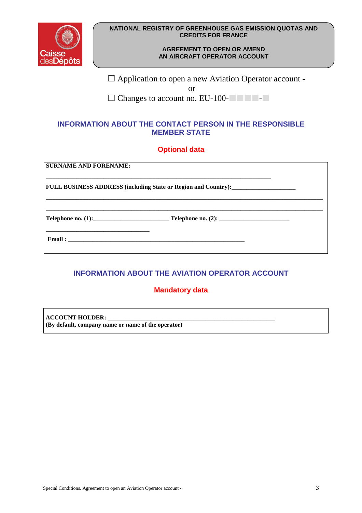

### **AGREEMENT TO OPEN OR AMEND AN AIRCRAFT OPERATOR ACCOUNT**

## $\Box$  Application to open a new Aviation Operator account or  $\Box$  Changes to account no. EU-100-

### **INFORMATION ABOUT THE CONTACT PERSON IN THE RESPONSIBLE MEMBER STATE**

## **Optional data**

| <b>SURNAME AND FORENAME:</b>                                                      |  |  |  |
|-----------------------------------------------------------------------------------|--|--|--|
| FULL BUSINESS ADDRESS (including State or Region and Country): __________________ |  |  |  |
|                                                                                   |  |  |  |
|                                                                                   |  |  |  |

## **INFORMATION ABOUT THE AVIATION OPERATOR ACCOUNT**

### **Mandatory data**

**ACCOUNT HOLDER: \_\_\_\_\_\_\_\_\_\_\_\_\_\_\_\_\_\_\_\_\_\_\_\_\_\_\_\_\_\_\_\_\_\_\_\_\_\_\_\_\_\_\_\_\_\_\_\_\_\_\_\_\_\_\_ (By default, company name or name of the operator)**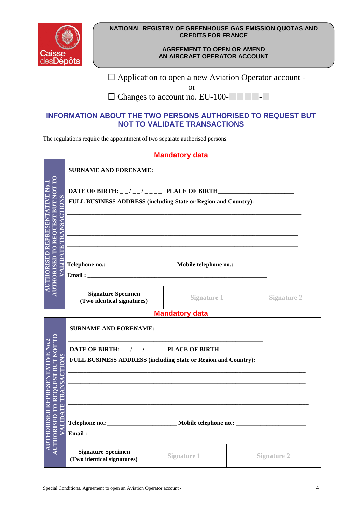

#### **AGREEMENT TO OPEN OR AMEND AN AIRCRAFT OPERATOR ACCOUNT**

| $\Box$ Application to open a new Aviation Operator account - |  |
|--------------------------------------------------------------|--|
|                                                              |  |

or

 $\Box$  Changes to account no. EU-100-

### **INFORMATION ABOUT THE TWO PERSONS AUTHORISED TO REQUEST BUT NOT TO VALIDATE TRANSACTIONS**

The regulations require the appointment of two separate authorised persons.

|                                      |                                                                                                                      | <b>Mandatory data</b>                                                                                              |                    |
|--------------------------------------|----------------------------------------------------------------------------------------------------------------------|--------------------------------------------------------------------------------------------------------------------|--------------------|
|                                      | <b>SURNAME AND FORENAME:</b>                                                                                         |                                                                                                                    |                    |
| REQUEST BUT NOT TO                   | DATE OF BIRTH: $_{--}/_{--}/_{---}$ PLACE OF BIRTH<br>FULL BUSINESS ADDRESS (including State or Region and Country): |                                                                                                                    |                    |
| <b>TRANSACTIONS</b>                  |                                                                                                                      |                                                                                                                    |                    |
| <b>AUTHORISED TO</b><br>VALIDATE     |                                                                                                                      |                                                                                                                    |                    |
|                                      |                                                                                                                      |                                                                                                                    |                    |
|                                      | <b>Signature Specimen</b><br>(Two identical signatures)                                                              | <b>Signature 1</b>                                                                                                 | <b>Signature 2</b> |
|                                      |                                                                                                                      | <b>Mandatory data</b>                                                                                              |                    |
|                                      | <b>SURNAME AND FORENAME:</b>                                                                                         |                                                                                                                    |                    |
| TO REQUEST BUT NOT<br>曰              |                                                                                                                      | DATE OF BIRTH: _ _ / _ _ / _ _ _ PLACE OF BIRTH_<br>FULL BUSINESS ADDRESS (including State or Region and Country): |                    |
| VALIDATE TRANSACTIONS                |                                                                                                                      | <u> 1980 - Johann Barn, margaret eta biztanleria (h. 1980).</u>                                                    |                    |
|                                      |                                                                                                                      |                                                                                                                    |                    |
| <b>AUTHORISED</b><br><b>AUTHORIS</b> |                                                                                                                      |                                                                                                                    |                    |
|                                      | <b>Signature Specimen</b><br>(Two identical signatures)                                                              | <b>Signature 1</b>                                                                                                 | <b>Signature 2</b> |